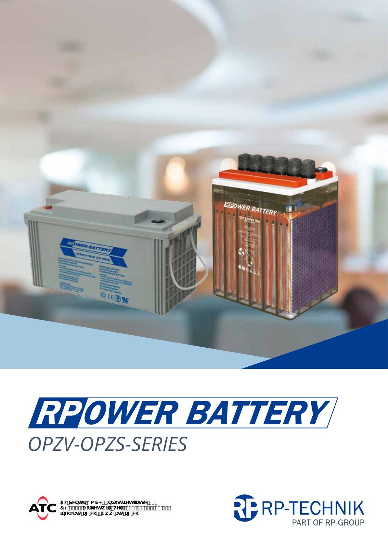





5H7YbhYf; a V< p=bXighflYghfUggY&,<br>7<!,\*\$(`Jc`\_Yhgk]`pHY''.'Ž(%\*&',,+'\$`,\$`<br>]bZc4UhWU['W\pkkk'UhWU['W\

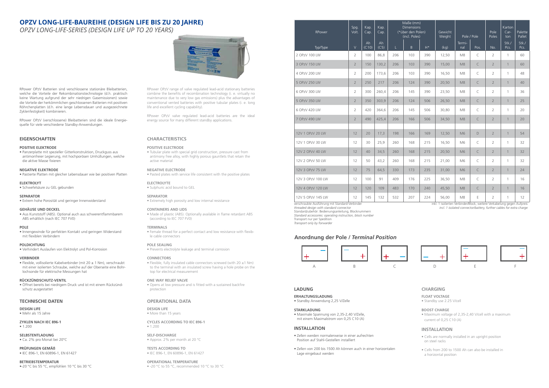# **EIGENSCHAFTEN**

#### **POSITIVE ELEKTRODE**

• Panzerplatte mit spezieller Gitterkonstruktion, Druckguss aus antimonfreier Legierung, mit hochporösen Umhüllungen, welche die aktive Masse fixieren

#### **NEGATIVE ELEKTRODE**

• Pastierte Platten mit gleicher Lebensdauer wie bei positiven Platten

#### **ELEKTROLYT**

• Schwefelsäure zu GEL gebunden

#### **SEPARATOR**

• Extrem hohe Porosität und geringer Innenwiderstand

#### **GEHÄUSE UND DECKEL**

• Aus Kunststoff (ABS). Optional auch aus schwerentflammbarem ABS erhältlich (nach IEC 707 FV0)

#### **POLE**

• Innengewinde für perfekten Kontakt und geringen Widerstand mit flexiblen Verbindern

#### **POLDICHTUNG**

• Verhindert Auslaufen von Elektrolyt und Pol-Korrosion

#### **VERBINDER**

• Flexible, vollisolierte Kabelverbinder (mit 20 ± 1 Nm), verschraubt mit einer isolierten Schraube, welche auf der Oberseite eine Bohrlochsonde für elektrische Messungen hat

#### **RÜCKZÜNDSCHUTZ-VENTIL**

• Öffnet bereits bei niedrigem Druck und ist mit einem Rückzündschutz ausgestattet

# **CHARACTERISTICS**

#### **POSITIVE ELECTRODE**

• Tubular plate with special grid construction, pressure cast from antimony free alloy, with highly porous gauntlets that retain the active material

#### **NEGATIVE ELECTRODE**

• Pasted plates with service life consistent with the positive plates

#### **ELECTROLYTE**

• Sulphuric acid bound to GEL

#### **SEPARATOR**

• Extremely high porosity and low internal resistance

#### **CONTAINERS AND LIDS**

• Made of plastic (ABS). Optionally available in flame retardant ABS (according to IEC 707 FV0)

#### **TERMINALS**

• Female thread for a perfect contact and low resistance with flexible cable connectors

#### **POLE SEALING**

• Prevents electrolyte leakage and terminal corrosion

#### **CONNECTORS**

• Flexible, fully insulated cable connectors screwed (with 20 ±1 Nm) to the terminal with an insulated screw having a hole probe on the top for electrical measurement

**OPERATIONAL TEMPERATURE** • -20 °C to 55 °C, recommended 10 °C to 30 °C

#### **ONE WAY RELIEF VALVE**

• Opens at low pressure and is fitted with a sustained backfire protection

RPower OPzV Batterien sind verschlossene stationäre Bleibatterien, welche die Vorteile der Rekombinationstechnologie (d.h. praktisch keine Wartung aufgrund der sehr niedrigen Gasemissionen) sowie die Vorteile der herkömmlichen geschlossenen Batterien mit positiven Röhrchenplatten (d.h. eine lange Lebensdauer und ausgezeichnete Zyklenfestigkeit) kombinieren.

RPower OPzV (verschlossene) Bleibatterien sind die ideale Energiequelle für viele verschiedene Standby-Anwendungen.

# **LADUNG**

#### **ERHALTUNGSLADUNG**

• Standby Anwendung 2,25 V/Zelle

#### **STARKLADUNG**

• Maximale Spannung von 2,35-2,40 V/Zelle, mit einem Maximalstrom von 0,25 C10 (A)

#### **INSTALLATION**

- Zellen werden normalerweise in einer aufrechten Position auf Stahl-Gestellen installiert
- Zellen von 200 bis 1500 Ah können auch in einer horizontalen Lage eingebaut werden

#### **TECHNISCHE DATEN**

**DESIGN LIFE** • Mehr als 15 Jahre

#### **ZYKLEN NACH IEC 896-1**

- 1.200
- **SELBSTENTLADUNG**
- Ca. 2% pro Monat bei 20°C

**PRÜFUNGEN GEMÄß** • IEC 896-1, EN 60896-1, EN 61427

#### **BETRIEBSTEMPERATUR** •-20 °C bis 55 °C, empfohlen 10 °C bis 30 °C

# **CHARGING**

**FLOAT VOLTAGE**

• Standby use 2.25 V/cell

# **BOOST CHARGE**

• Maximum voltage of 2,35-2,40 V/cell with a maximum current of 0,25 C10 (A)

# **INSTALLATION**

- Cells are normally installed in an upright position on steel racks
- Cells from 200 to 1500 Ah can also be installed in a horizontal position

# **OPERATIONAL DATA**

**DESIGN LIFE** • More than 15 years

#### **CYCLES ACCORDING TO IEC 896-1** • 1.200

**SELF-DISCHARGE** • Approx. 2% per month at 20 °C

#### **TESTS ACCORDING TO** • IEC 896-1, EN 60896-1, EN 61427

RPower OPzV range of valve regulated lead-acid stationary batteries combine the benefits of recombination technology (i. e. virtually no maintenance due to very low gas emissions) plus the advantages of conventional vented batteries with positive tubular plates (i. e. long life and excellent cycling capability).

RPower OPzV valve regulated lead-acid batteries are the ideal energy source for many different standby applications.

# **OPZV LONG-LIFE-BAUREIHE (DESIGN LIFE BIS ZU 20 JAHRE)**

# **OPZV LONG-LIFE-SERIES (DESIGN LIFE UP TO 20 YEARS)**



| RPower            | Spg.<br>Volt.  | Kap.<br>Cap. | Kap.<br>Cap. | Maße (mm)<br><b>Dimensions</b><br>(*über den Polen)<br>(incl. Poles) |     |       | Gewicht<br>Weight |                | Pole / Pole | Pole<br>Poles  | Karton<br>$Car-$<br>ton | Palette<br>Pallet |
|-------------------|----------------|--------------|--------------|----------------------------------------------------------------------|-----|-------|-------------------|----------------|-------------|----------------|-------------------------|-------------------|
| Typ/Type          | $\vee$         | Ah<br>(C10)  | Ah<br>(C5)   | L.                                                                   | B   | $H^*$ | (kq)              | Termi-<br>nal  | Pos.        | No.            | Stk./<br>Pcs.           | Stk./<br>Pcs.     |
| 2 OPzV 100 LW     | $\overline{2}$ | 100          | 86,8         | 206                                                                  | 103 | 390   | 12,50             | M <sub>8</sub> | C           | $\overline{2}$ | $\mathbf{1}$            | 60                |
| 3 OPzV 150 LW     | $\overline{2}$ | 150          | 130,2        | 206                                                                  | 103 | 390   | 15,00             | M <sub>8</sub> | C           | $\overline{2}$ | $\mathbf{1}$            | 60                |
| 4 OPzV 200 LW     | $\overline{2}$ | 200          | 173,6        | 206                                                                  | 103 | 390   | 16,50             | M <sub>8</sub> | $\subset$   | $\overline{2}$ | $\mathbf{1}$            | 48                |
| 5 OPzV 250 LW     | $\overline{2}$ | 250          | 217          | 206                                                                  | 124 | 390   | 20,50             | M8             | C           | $\overline{2}$ | $\mathbf{1}$            | 40                |
| 6 OPzV 300 LW     | $\overline{2}$ | 300          | 260,4        | 206                                                                  | 145 | 390   | 23,50             | M <sub>8</sub> | C           | $\overline{2}$ | $\mathbf{1}$            | 36                |
| 5 OPzV 350 LW     | $\overline{2}$ | 350          | 303,9        | 206                                                                  | 124 | 506   | 26,50             | M <sub>8</sub> | C           | $\overline{2}$ | 1                       | 25                |
| 6 OPzV 420 LW     | $\overline{2}$ | 420          | 364,6        | 206                                                                  | 145 | 506   | 30,80             | M <sub>8</sub> | $\subset$   | $\overline{2}$ | $\mathbf{1}$            | 20                |
| 7 OPzV 490 LW     | $\overline{2}$ | 490          | 425,4        | 206                                                                  | 166 | 506   | 34,50             | M8             | $\subset$   | $\overline{2}$ | $\mathbf{1}$            | 20                |
| 12V 1 OPzV 20 LW  | 12             | 20           | 17,3         | 198                                                                  | 166 | 169   | 12,50             | M <sub>6</sub> | D           | $\overline{2}$ | 1                       | 54                |
| 12V 1 OPzV 30 LW  | 12             | 30           | 25,9         | 260                                                                  | 168 | 215   | 16,50             | M6             | $\subset$   | $\overline{2}$ | $\mathbf{1}$            | 32                |
| 12V 2 OPzV 40 LW  | 12             | 40           | 34,5         | 260                                                                  | 168 | 215   | 20,50             | M <sub>6</sub> | C           | $\overline{2}$ | $\mathbf{1}$            | 32                |
| 12V 2 OPzV 50 LW  | 12             | 50           | 43,2         | 260                                                                  | 168 | 215   | 21,00             | M6             | $\subset$   | $\overline{2}$ | $\mathbf{1}$            | 32                |
| 12V 3 OPzV 75 LW  | 12             | 75           | 64,5         | 330                                                                  | 173 | 235   | 31,00             | M <sub>6</sub> | $\subset$   | $\overline{2}$ | $\mathbf{1}$            | 24                |
| 12V 3 OPzV 100 LW | 12             | 100          | 91           | 409                                                                  | 176 | 225   | 36,50             | M <sub>8</sub> | C           | $\overline{2}$ | $\mathbf{1}$            | 16                |
| 12V 4 OPzV 120 LW | 12             | 120          | 109          | 483                                                                  | 170 | 240   | 45,50             | M <sub>8</sub> | C           | $\overline{2}$ | $\mathbf{1}$            | 16                |
| 12V 5 OPzV 145 LW | 12             | 145          | 132          | 532                                                                  | 207 | 224   | 56,00             | M <sub>8</sub> | Е           | $\overline{2}$ | $\mathbf{1}$            | 12                |

verschraubte Ausführung mit Standard-Verbinder

*threaded design with standard connector*

Standardzubehör: Bedienungsanleitung, Blocknummern *Standard accessories: operating instruction, block number*

Transport nur per Spedition

*Transport only by forwarder*

inkl. 1 isolierten Verbinder/Block, weitere Verkabelung gegen Aufpreis *incl. 1 isolated connector/battery, further cables for extra charge*



# **Anordnung der Pole /** *Terminal Position*

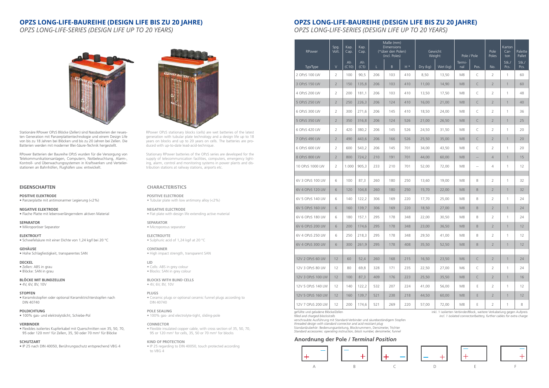# **EIGENSCHAFTEN**

**POSITIVE ELEKTRODE** • Panzerplatte mit antimonarmer Legierung (<2%)

**NEGATIVE ELEKTRODE** • Flache Platte mit lebensverlängerndem aktiven Material

**SEPARATOR** • Mikroporöser Separator

**ELEKTROLYT** • Schwefelsäure mit einer Dichte von 1,24 kg/l bei 20 °C

• Flexibles isoliertes Kupferkabel mit Querschnitten von 35, 50, 70, 95 oder 120 mm<sup>2</sup> für Zellen, 35, 50 oder 70 mm<sup>2</sup> für Blöcke

**GEHÄUSE** • Hohe Schlagfestigkeit, transparentes SAN

**DECKEL** • Zellen: ABS in grau

• Blöcke: SAN in grau

**BLÖCKE MIT BLINDZELLEN**

• 4V, 6V, 8V, 10V

#### **STOPFEN**

• Keramikstopfen oder optional Keramiktrichterstopfen nach DIN 40740

#### **POLDICHTUNG**

• 100% gas- und elektrolytdicht, Schiebe-Pol

#### **VERBINDER**

#### **SCHUTZART**

• IP 25 nach DIN 40050, Berührungsschutz entsprechend VBG 4



# **CHARACTERISTICS**

**POSITIVE ELECTRODE** • Tubular plate with low antimony alloy (<2%)

**NEGATIVE ELECTRODE** • Flat plate with design life extending active material

**SEPARATOR** • Microporous separator

**ELECTROLYTE** • Sulphuric acid of 1,24 kg/l at 20 °C

**CONTAINER** • High impact strength, transparent SAN

**LID** • Cells: ABS in grey colour • Blocks: SAN in grey colour

**BLOCKS WITH BLIND CELLS** • 4V, 6V, 8V, 10V

#### **PLUGS**

• Ceramic plugs or optional ceramic funnel plugs according to DIN 40740

#### **POLE SEALING**

• 100% gas- and electrolyte-tight, sliding-pole

#### **CONNECTOR**

• Flexible insulated copper cable, with cross section of 35, 50, 70, 95 or 120 mm2 for cells, 35, 50 or 70 mm2 for blocks

#### **KIND OF PROTECTION**

• IP 25 regarding to DIN 40050, touch protected according to VBG 4

Stationäre RPower OPzS Blöcke (Zellen) sind Nassbatterien der neuesten Generation mit Panzerplattentechnologie und einem Design Life von bis zu 18 Jahren bei Blöcken und bis zu 20 Jahren bei Zellen. Die Batterien werden mit moderner Blei-Säure-Technik hergestellt.

RPower Batterien der Baureihe OPzS wurden für die Versorgung von Telekommunikationsanlagen, Computern, Notbeleuchtung, Alarm-, Kontroll- und Überwachungssystemen in Kraftwerken und Verteilerstationen an Bahnhöfen, Flughäfen usw. entwickelt.

RPower OPzS stationary blocks (cells) are wet batteries of the latest generation with tubular plate technology and a design life up to 18 years on blocks and up to 20 years on cells. The batteries are produced with up-to-date lead-acid-technique.

Stationary RPower batteries of the OPzS series are developed for the supply of telecommunication facilities, computers, emergency lighting, alarm, control and monitoring systems in power plants and distribution stations at railway stations, airports etc.

# **OPZS LONG-LIFE-BAUREIHE (DESIGN LIFE BIS ZU 20 JAHRE)**

*OPZS LONG-LIFE-SERIES (DESIGN LIFE UP TO 20 YEARS)*

# **OPZS LONG-LIFE-BAUREIHE (DESIGN LIFE BIS ZU 20 JAHRE)**

*OPZS LONG-LIFE-SERIES (DESIGN LIFE UP TO 20 YEARS)*



| RPower            | Spg.<br>Volt.  | Kap.<br>Cap. | Kap.<br>Cap. | Maße (mm)<br><b>Dimensions</b><br>(*über den Polen)<br>(incl. Poles) |     |                         | Gewicht<br>Weight |          | Pole / Pole                |                          | Pole<br>Poles  | Karton<br>$Car-$<br>ton | Palette<br>Pallet |
|-------------------|----------------|--------------|--------------|----------------------------------------------------------------------|-----|-------------------------|-------------------|----------|----------------------------|--------------------------|----------------|-------------------------|-------------------|
| Typ/Type          | $\vee$         | Ah<br>(C10)  | Ah<br>(C5)   | L                                                                    | B   | $\mathsf{H}$ $^{\star}$ | Dry (kg)          | Wet (kg) | Termi-<br>nal              | Pos.                     | No.            | Stk./<br>Pcs.           | Stk./<br>Pcs.     |
| 2 OPzS 100 LW     | $\overline{2}$ | 100          | 90,5         | 206                                                                  | 103 | 410                     | 8,50              | 13,50    | M8                         | C                        | $\overline{2}$ | 1                       | 60                |
| 3 OPzS 150 LW     | $\overline{2}$ | 150          | 135,8        | 206                                                                  | 103 | 410                     | 11,00             | 14,90    | M <sub>8</sub>             | C                        | $\overline{2}$ | $\mathbf{1}$            | 60                |
| 4 OPzS 200 LW     | $\overline{2}$ | 200          | 181,1        | 206                                                                  | 103 | 410                     | 13,50             | 17,50    | M <sub>8</sub>             | $\subset$                | $\overline{2}$ | $\mathbf{1}$            | 48                |
| 5 OPzS 250 LW     | $\overline{2}$ | 250          | 226,3        | 206                                                                  | 124 | 410                     | 16,00             | 21,00    | M <sub>8</sub>             | C                        | $\overline{2}$ | $\mathbf{1}$            | 40                |
| 6 OPzS 300 LW     | $\overline{2}$ | 300          | 271,6        | 206                                                                  | 145 | 410                     | 18,50             | 24,00    | M8                         | C                        | $\overline{2}$ | $\mathbf{1}$            | 36                |
| 5 OPzS 350 LW     | $\overline{2}$ | 350          | 316,8        | 206                                                                  | 124 | 526                     | 21,00             | 26,50    | M <sub>8</sub>             | C                        | $\overline{2}$ | $\mathbf{1}$            | 25                |
| 6 OPzS 420 LW     | 2              | 420          | 380,2        | 206                                                                  | 145 | 526                     | 24,50             | 31,50    | M <sub>8</sub>             | C                        | $\overline{2}$ | $\mathbf{1}$            | 20                |
| 7 OPzS 490 LW     | $\overline{2}$ | 490          | 443,6        | 206                                                                  | 166 | 526                     | 25,50             | 35,00    | M <sub>8</sub>             | C                        | $\overline{2}$ | $\mathbf{1}$            | 20                |
| 6 OPzS 600 LW     | $\overline{2}$ | 600          | 543,2        | 206                                                                  | 145 | 701                     | 34,00             | 43,50    | M8                         | $\subset$                | $\overline{2}$ | 1                       | 20                |
| 8 OPzS 800 LW     | $\overline{2}$ | 800          | 724,2        | 210                                                                  | 191 | 701                     | 44,00             | 60,00    | M <sub>8</sub>             | $\qquad \qquad -$        | $\overline{4}$ | $\mathbf{1}$            | 15                |
| 10 OPzS 1000 LW   | $\overline{2}$ | 1.000        | 905,3        | 233                                                                  | 210 | 701                     | 52,00             | 72,00    | M8                         | $\overline{\phantom{a}}$ | $\overline{4}$ | $\mathbf{1}$            | 12                |
|                   |                |              |              |                                                                      |     |                         |                   |          |                            |                          |                |                         |                   |
| 6V 3 OPzS 100 LW  | 6              | 100          | 87,3         | 260                                                                  | 180 | 250                     | 13,60             | 19,00    | M8                         | B                        | $\overline{2}$ | 1                       | 32                |
| 6V 4 OPzS 120 LW  | 6              | 120          | 104,8        | 260                                                                  | 180 | 250                     | 15,70             | 22,00    | M <sub>8</sub>             | B                        | $\overline{2}$ | $\mathbf{1}$            | 32                |
| 6V 5 OPzS 140 LW  | 6              | 140          | 122,2        | 306                                                                  | 169 | 220                     | 17,70             | 25,00    | M <sub>8</sub>             | B                        | $\overline{2}$ | 1                       | 24                |
| 6V 5 OPzS 160 LW  | 6              | 160          | 139,7        | 306                                                                  | 169 | 220                     | 18,50             | 27,00    | M <sub>8</sub>             | $\mathsf B$              | $\overline{2}$ | $\mathbf{1}$            | 24                |
| 6V 6 OPzS 180 LW  | 6              | 180          | 157,1        | 295                                                                  | 178 | 348                     | 22.00             | 30,50    | M8                         | B                        | $\overline{2}$ | 1                       | 24                |
| 6V 6 OPzS 200 LW  | 6              | 200          | 174,6        | 295                                                                  | 178 | 348                     | 23,00             | 36,50    | M <sub>8</sub>             | B                        | $\overline{2}$ | $\mathbf{1}$            | 12                |
| 6V 4 OPzS 250 LW  | 6              | 250          | 218,3        | 295                                                                  | 178 | 348                     | 29,50             | 41,00    | M <sub>8</sub>             | B                        | $\overline{2}$ | $\mathbf{1}$            | 12                |
| 6V 4 OPzS 300 LW  | 6              | 300          | 261,9        | 295                                                                  | 178 | 408                     | 35,50             | 52,50    | $\ensuremath{\mathsf{M}}8$ | B                        | $\overline{2}$ | $\mathbf{1}$            | 12                |
| 12V 2 OPzS 60 LW  | 12             | 60           | 52,4         | 260                                                                  | 168 | 215                     | 16,50             | 23,50    | M <sub>6</sub>             | $\subset$                | $\overline{2}$ | $\mathbf{1}$            | 24                |
| 12V 3 OPzS 80 LW  | 12             | 80           | 69,8         | 328                                                                  | 171 | 235                     | 22,50             | 27,00    | M6                         | C                        | $\overline{2}$ | $\mathbf{1}$            | 24                |
| 12V 3 OPzS 100 LW | 12             | 100          | 87,3         | 409                                                                  | 176 | 223                     | 25,50             | 35,50    | M <sub>8</sub>             | C                        | $\overline{2}$ | $\mathbf{1}$            | 16                |
| 12V 5 OPzS 140 LW | 12             | 140          | 122,2        | 532                                                                  | 207 | 224                     | 41,00             | 56,00    | M8                         | Ε                        | $\overline{2}$ | $\mathbf{1}$            | 12                |
|                   |                |              |              |                                                                      |     |                         |                   |          |                            |                          |                |                         |                   |
| 12V 5 OPzS 160 LW | 12             | 160          | 139,7        | 521                                                                  | 238 | 218                     | 44,50             | 60,00    | M <sub>8</sub>             | E                        | $\overline{2}$ | $\mathbf{1}$            | 12                |
| 12V 7 OPzS 200 LW | 12             | 200          | 174,6        | 521                                                                  | 269 | 220                     | 57,00             | 72,00    | $\ensuremath{\mathsf{M8}}$ | Ε                        | $\overline{2}$ | $\mathbf{1}$            | $\,8\,$           |

gefüllte und geladene Blöcke/Zellen *filled and charged blocks/cells*

verschraubte Ausführung mit Standard-Verbinder und säurebeständigem Stopfen *threaded design with standard connector and acid resistant plug* Standardzubehör: Bedienungsanleitung, Blocknummern, Densimeter, Trichter *Standard accessories: operating instruction, block number, densimeter, funnel*

inkl. 1 isolierten Verbinder/Block, weitere Verkabelung gegen Aufpreis *incl. 1 isolated connector/battery, further cables for extra charge*











# **Anordnung der Pole /** *Terminal Position*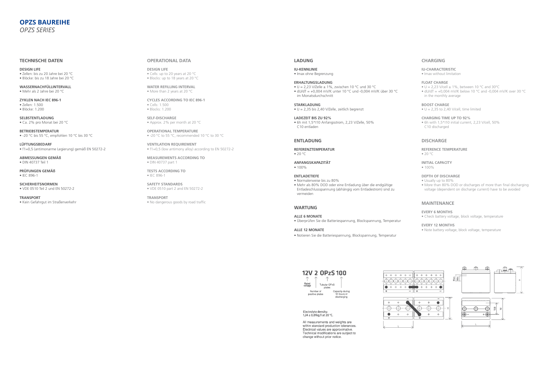# **LADUNG**

**IU-KENNLINIE**

• Imax ohne Begrenzung

**ERHALTUNGSLADUNG**

 $\bullet$  U = 2,23 V/Zelle  $\pm$  1%, zwischen 10 °C und 30 °C  $\bullet$  dU/dT = +0,004 mV/K unter 10 °C und -0,004 mV/K über 30 °C im Monatsdurchschnitt

**ANFANGSKAPAZITÄT** • 100%

**STARKLADUNG**

• U = 2,35 bis 2,40 V/Zelle, zeitlich begrenzt

**LADEZEIT BIS ZU 92%**

• 6h mit 1,5\*I10 Anfangsstrom, 2,23 V/Zelle, 50% C10 entladen

#### **ENTLADUNG**

**REFERENZTEMPERATUR** • 20 °C

#### **ENTLADETIEFE**

• Normalerweise bis zu 80%

- $\bullet$  U = 2,23 V/cell  $\pm$  1%, between 10 °C and 30°C
- $\bullet$  dU/dT = +0,004 mV/K below 10 °C and -0,004 mV/K over 30 °C in the monthly average

• Mehr als 80% DOD oder eine Entladung über die endgültige Entladeschlussspannung (abhängig vom Entladestrom) sind zu vermeiden

# **WARTUNG**

#### **ALLE 6 MONATE**

• Überprüfen Sie die Batteriespannung, Blockspannung, Temperatur

#### **ALLE 12 MONATE**

• Notieren Sie die Batteriespannung, Blockspannung, Temperatur

# 12V 2 OPzS 100

- 1 Rated<br>voltage Tubular OPzS plates Number of Capacity during apably done<br>10 hours of positive plates discharging



Electrolyte density:  $1,24 \pm 0,01$ kg/l at 20 °C.

All measurements and weights are within standard production tolerances. Electrical values are approximative. Technical modifications are subject to change without prior notice.



# **CHARGING**

#### **IU-CHARACTERISTIC**

• Imax without limitation

#### **FLOAT CHARGE**

#### **BOOST CHARGE**

 $\bullet$  U = 2,35 to 2,40 V/cell, time limited

#### **CHARGING TIME UP TO 92%**

• 6h with 1,5\*I10 initial current, 2,23 V/cell, 50% C10 discharged

**WATER REFILLING INTERVAL** • More than 2 years at 20 °C

# **DISCHARGE**

# **REFERENCE TEMPERATURE**

• 20 °C

# **INITIAL CAPACITY**

• 100%

#### **DEPTH OF DISCHARGE**

- Usually up to 80%
- More than 80% DOD or discharges of more than final discharging voltage (dependent on discharge current) have to be avoided

#### **MAINTENANCE**

#### **EVERY 6 MONTHS**

• Check battery voltage, block voltage, temperature

# **EVERY 12 MONTHS**

• Note battery voltage, block voltage, temperature

#### **TECHNISCHE DATEN**

**DESIGN LIFE** • Zellen: bis zu 20 Jahre bei 20 °C • Blöcke: bis zu 18 Jahre bei 20 °C

**WASSERNACHFÜLLINTERVALL** • Mehr als 2 Jahre bei 20 °C

**ZYKLEN NACH IEC 896-1** • Zellen: 1.500 • Blöcke: 1.200

**SELBSTENTLADUNG** • Ca. 2% pro Monat bei 20 °C

**BETRIEBSTEMPERATUR** • -20 °C bis 55 °C, empfohlen 10 °C bis 30 °C

**LÜFTUNGSBEDARF** • f1=0,5 (antimonarme Legierung) gemäß EN 50272-2

**ABMESSUNGEN GEMÄß** • DIN 40737 Teil 1

**PRÜFUNGEN GEMÄß** • IEC 896-1

**SICHERHEITSNORMEN** • VDE 0510 Teil 2 und EN 50272-2

**TRANSPORT** • Kein Gefahrgut im Straßenverkehr

#### **OPERATIONAL DATA**

**DESIGN LIFE** • Cells: up to 20 years at 20 °C • Blocks: up to 18 years at 20 °C

**CYCLES ACCORDING TO IEC 896-1** • Cells: 1.500 • Blocks: 1.200

**SELF-DISCHARGE** • Approx. 2% per month at 20 °C

**OPERATIONAL TEMPERATURE** • -20 °C to 55 °C, recommended 10 °C to 30 °C

**VENTILATION REQUIREMENT** • f1=0,5 (low antimony alloy) according to EN 50272-2

**MEASUREMENTS ACCORDING TO** • DIN 40737 part 1

**TESTS ACCORDING TO** • IEC 896-1

**SAFETY STANDARDS** • VDE 0510 part 2 and EN 50272-2

**TRANSPORT** • No dangerous goods by road traffic

# **OPZS BAUREIHE** *OPZS SERIES*